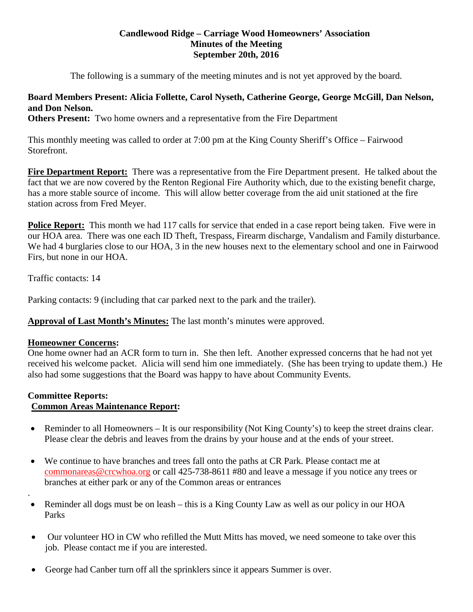## **Candlewood Ridge – Carriage Wood Homeowners' Association Minutes of the Meeting September 20th, 2016**

The following is a summary of the meeting minutes and is not yet approved by the board.

## **Board Members Present: Alicia Follette, Carol Nyseth, Catherine George, George McGill, Dan Nelson, and Don Nelson.**

**Others Present:** Two home owners and a representative from the Fire Department

This monthly meeting was called to order at 7:00 pm at the King County Sheriff's Office – Fairwood Storefront.

**Fire Department Report:** There was a representative from the Fire Department present. He talked about the fact that we are now covered by the Renton Regional Fire Authority which, due to the existing benefit charge, has a more stable source of income. This will allow better coverage from the aid unit stationed at the fire station across from Fred Meyer.

**Police Report:** This month we had 117 calls for service that ended in a case report being taken. Five were in our HOA area. There was one each ID Theft, Trespass, Firearm discharge, Vandalism and Family disturbance. We had 4 burglaries close to our HOA, 3 in the new houses next to the elementary school and one in Fairwood Firs, but none in our HOA.

Traffic contacts: 14

Parking contacts: 9 (including that car parked next to the park and the trailer).

**Approval of Last Month's Minutes:** The last month's minutes were approved.

#### **Homeowner Concerns:**

One home owner had an ACR form to turn in. She then left. Another expressed concerns that he had not yet received his welcome packet. Alicia will send him one immediately. (She has been trying to update them.) He also had some suggestions that the Board was happy to have about Community Events.

#### **Committee Reports:**

.

## **Common Areas Maintenance Report:**

- Reminder to all Homeowners It is our responsibility (Not King County's) to keep the street drains clear. Please clear the debris and leaves from the drains by your house and at the ends of your street.
- We continue to have branches and trees fall onto the paths at CR Park. Please contact me at [commonareas@crcwhoa.org](mailto:commonareas@crcwhoa.org) or call 425-738-8611 #80 and leave a message if you notice any trees or branches at either park or any of the Common areas or entrances
- Reminder all dogs must be on leash this is a King County Law as well as our policy in our HOA Parks
- Our volunteer HO in CW who refilled the Mutt Mitts has moved, we need someone to take over this job. Please contact me if you are interested.
- George had Canber turn off all the sprinklers since it appears Summer is over.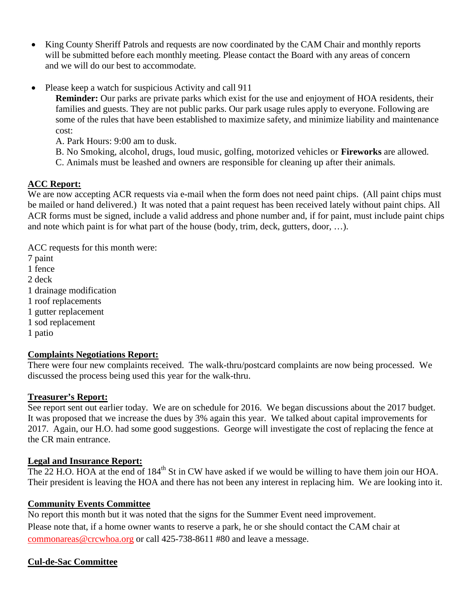- King County Sheriff Patrols and requests are now coordinated by the CAM Chair and monthly reports will be submitted before each monthly meeting. Please contact the Board with any areas of concern and we will do our best to accommodate.
- Please keep a watch for suspicious Activity and call 911

**Reminder:** Our parks are private parks which exist for the use and enjoyment of HOA residents, their families and guests. They are not public parks. Our park usage rules apply to everyone. Following are some of the rules that have been established to maximize safety, and minimize liability and maintenance cost:

A. Park Hours: 9:00 am to dusk.

B. No Smoking, alcohol, drugs, loud music, golfing, motorized vehicles or **Fireworks** are allowed.

C. Animals must be leashed and owners are responsible for cleaning up after their animals.

# **ACC Report:**

We are now accepting ACR requests via e-mail when the form does not need paint chips. (All paint chips must be mailed or hand delivered.) It was noted that a paint request has been received lately without paint chips. All ACR forms must be signed, include a valid address and phone number and, if for paint, must include paint chips and note which paint is for what part of the house (body, trim, deck, gutters, door, …).

ACC requests for this month were:

- 7 paint
- 1 fence
- 2 deck
- 1 drainage modification
- 1 roof replacements
- 1 gutter replacement
- 1 sod replacement
- 1 patio

# **Complaints Negotiations Report:**

There were four new complaints received. The walk-thru/postcard complaints are now being processed. We discussed the process being used this year for the walk-thru.

# **Treasurer's Report:**

See report sent out earlier today. We are on schedule for 2016. We began discussions about the 2017 budget. It was proposed that we increase the dues by 3% again this year. We talked about capital improvements for 2017. Again, our H.O. had some good suggestions. George will investigate the cost of replacing the fence at the CR main entrance.

# **Legal and Insurance Report:**

The 22 H.O. HOA at the end of 184<sup>th</sup> St in CW have asked if we would be willing to have them join our HOA. Their president is leaving the HOA and there has not been any interest in replacing him. We are looking into it.

## **Community Events Committee**

No report this month but it was noted that the signs for the Summer Event need improvement. Please note that, if a home owner wants to reserve a park, he or she should contact the CAM chair at [commonareas@crcwhoa.org](mailto:commonareas@crcwhoa.org) or call 425-738-8611 #80 and leave a message.

# **Cul-de-Sac Committee**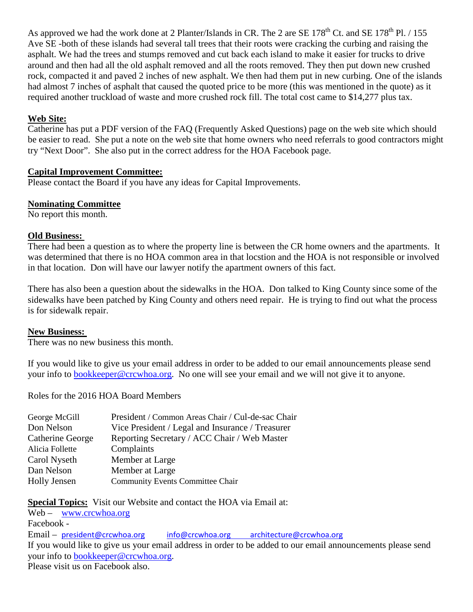As approved we had the work done at 2 Planter/Islands in CR. The 2 are SE 178<sup>th</sup> Ct. and SE 178<sup>th</sup> Pl. / 155 Ave SE -both of these islands had several tall trees that their roots were cracking the curbing and raising the asphalt. We had the trees and stumps removed and cut back each island to make it easier for trucks to drive around and then had all the old asphalt removed and all the roots removed. They then put down new crushed rock, compacted it and paved 2 inches of new asphalt. We then had them put in new curbing. One of the islands had almost 7 inches of asphalt that caused the quoted price to be more (this was mentioned in the quote) as it required another truckload of waste and more crushed rock fill. The total cost came to \$14,277 plus tax.

## **Web Site:**

Catherine has put a PDF version of the FAQ (Frequently Asked Questions) page on the web site which should be easier to read. She put a note on the web site that home owners who need referrals to good contractors might try "Next Door". She also put in the correct address for the HOA Facebook page.

## **Capital Improvement Committee:**

Please contact the Board if you have any ideas for Capital Improvements.

## **Nominating Committee**

No report this month.

## **Old Business:**

There had been a question as to where the property line is between the CR home owners and the apartments. It was determined that there is no HOA common area in that locstion and the HOA is not responsible or involved in that location. Don will have our lawyer notify the apartment owners of this fact.

There has also been a question about the sidewalks in the HOA. Don talked to King County since some of the sidewalks have been patched by King County and others need repair. He is trying to find out what the process is for sidewalk repair.

#### **New Business:**

There was no new business this month.

If you would like to give us your email address in order to be added to our email announcements please send your info to [bookkeeper@crcwhoa.org.](mailto:bookkeeper@crcwhoa.org) No one will see your email and we will not give it to anyone.

Roles for the 2016 HOA Board Members

| George McGill       | President / Common Areas Chair / Cul-de-sac Chair |
|---------------------|---------------------------------------------------|
| Don Nelson          | Vice President / Legal and Insurance / Treasurer  |
| Catherine George    | Reporting Secretary / ACC Chair / Web Master      |
| Alicia Follette     | Complaints                                        |
| Carol Nyseth        | Member at Large                                   |
| Dan Nelson          | Member at Large                                   |
| <b>Holly Jensen</b> | <b>Community Events Committee Chair</b>           |
|                     |                                                   |

**Special Topics:** Visit our Website and contact the HOA via Email at:

Web – [www.crcwhoa.org](http://www.crcwhoa.org/) Facebook - Email – [president@crcwhoa.org](mailto:president@crcwhoa.org) [info@crcwhoa.org](mailto:info@crcwhoa.org) [architecture@crcwhoa.org](mailto:architecture@crcwhoa.org) If you would like to give us your email address in order to be added to our email announcements please send your info to [bookkeeper@crcwhoa.org.](mailto:bookkeeper@crcwhoa.org) Please visit us on Facebook also.